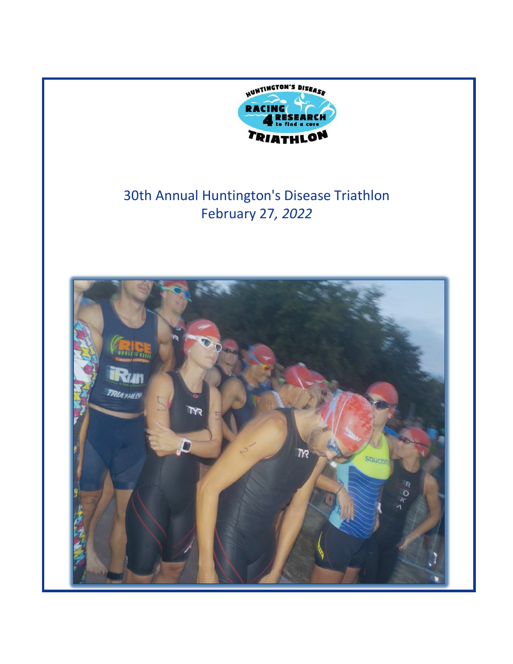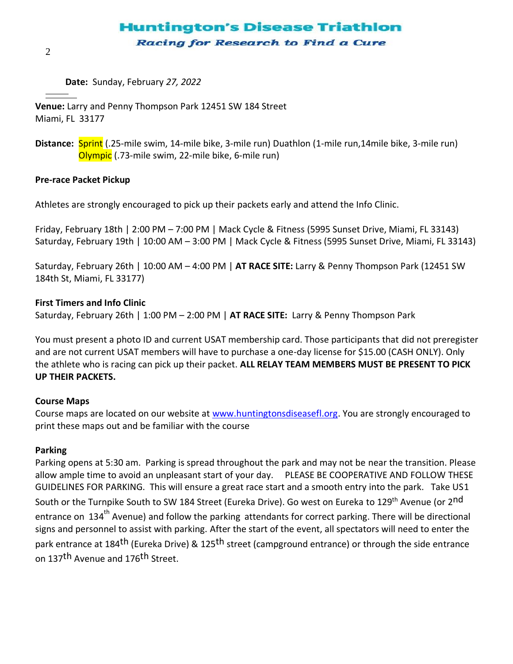# **Huntington's Disease Triathlon** Racing for Research to Find a Cure

**Date:** Sunday, February *27, 2022*

**Venue:** Larry and Penny Thompson Park 12451 SW 184 Street Miami, FL 33177

**Distance:** Sprint (.25-mile swim, 14-mile bike, 3-mile run) Duathlon (1-mile run,14mile bike, 3-mile run) Olympic (.73-mile swim, 22-mile bike, 6-mile run)

### **Pre-race Packet Pickup**

Athletes are strongly encouraged to pick up their packets early and attend the Info Clinic.

Friday, February 18th | 2:00 PM – 7:00 PM | Mack Cycle & Fitness (5995 Sunset Drive, Miami, FL 33143) Saturday, February 19th | 10:00 AM – 3:00 PM | Mack Cycle & Fitness (5995 Sunset Drive, Miami, FL 33143)

Saturday, February 26th | 10:00 AM – 4:00 PM | **AT RACE SITE:** Larry & Penny Thompson Park (12451 SW 184th St, Miami, FL 33177)

### **First Timers and Info Clinic**

Saturday, February 26th | 1:00 PM – 2:00 PM | **AT RACE SITE:** Larry & Penny Thompson Park

You must present a photo ID and current USAT membership card. Those participants that did not preregister and are not current USAT members will have to purchase a one-day license for \$15.00 (CASH ONLY). Only the athlete who is racing can pick up their packet. **ALL RELAY TEAM MEMBERS MUST BE PRESENT TO PICK UP THEIR PACKETS.**

# **Course Maps**

Course maps are located on our website at [www.huntingtonsdiseasefl.org.](http://www.huntingtonsdiseasefl.org/) You are strongly encouraged to print these maps out and be familiar with the course

#### **Parking**

Parking opens at 5:30 am. Parking is spread throughout the park and may not be near the transition. Please allow ample time to avoid an unpleasant start of your day. PLEASE BE COOPERATIVE AND FOLLOW THESE GUIDELINES FOR PARKING. This will ensure a great race start and a smooth entry into the park. Take US1 South or the Turnpike South to SW 184 Street (Eureka Drive). Go west on Eureka to 129<sup>th</sup> Avenue (or 2<sup>nd</sup> entrance on 134<sup>th</sup> Avenue) and follow the parking attendants for correct parking. There will be directional signs and personnel to assist with parking. After the start of the event, all spectators will need to enter the park entrance at 184<sup>th</sup> (Eureka Drive) & 125<sup>th</sup> street (campground entrance) or through the side entrance on 137<sup>th</sup> Avenue and 176<sup>th</sup> Street.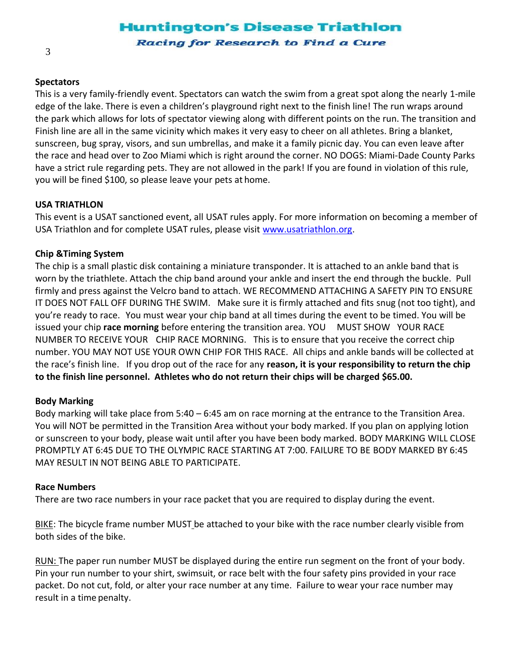# **Huntington's Disease Triathlon** Racing for Research to Find a Cure

# **Spectators**

This is a very family-friendly event. Spectators can watch the swim from a great spot along the nearly 1-mile edge of the lake. There is even a children's playground right next to the finish line! The run wraps around the park which allows for lots of spectator viewing along with different points on the run. The transition and Finish line are all in the same vicinity which makes it very easy to cheer on all athletes. Bring a blanket, sunscreen, bug spray, visors, and sun umbrellas, and make it a family picnic day. You can even leave after the race and head over to Zoo Miami which is right around the corner. NO DOGS: Miami-Dade County Parks have a strict rule regarding pets. They are not allowed in the park! If you are found in violation of this rule, you will be fined \$100, so please leave your pets at home.

# **USA TRIATHLON**

This event is a USAT sanctioned event, all USAT rules apply. For more information on becoming a member of USA Triathlon and for complete USAT rules, please visit [www.usatriathlon.org.](http://www.usatriathlon.org/)

### **Chip &Timing System**

The chip is a small plastic disk containing a miniature transponder. It is attached to an ankle band that is worn by the triathlete. Attach the chip band around your ankle and insert the end through the buckle. Pull firmly and press against the Velcro band to attach. WE RECOMMEND ATTACHING A SAFETY PIN TO ENSURE IT DOES NOT FALL OFF DURING THE SWIM. Make sure it is firmly attached and fits snug (not too tight), and you're ready to race. You must wear your chip band at all times during the event to be timed. You will be issued your chip **race morning** before entering the transition area. YOU MUST SHOW YOUR RACE NUMBER TO RECEIVE YOUR CHIP RACE MORNING. This is to ensure that you receive the correct chip number. YOU MAY NOT USE YOUR OWN CHIP FOR THIS RACE. All chips and ankle bands will be collected at the race's finish line. If you drop out of the race for any **reason, it is your responsibility to return the chip to the finish line personnel. Athletes who do not return their chips will be charged \$65.00.**

#### **Body Marking**

Body marking will take place from 5:40 – 6:45 am on race morning at the entrance to the Transition Area. You will NOT be permitted in the Transition Area without your body marked. If you plan on applying lotion or sunscreen to your body, please wait until after you have been body marked. BODY MARKING WILL CLOSE PROMPTLY AT 6:45 DUE TO THE OLYMPIC RACE STARTING AT 7:00. FAILURE TO BE BODY MARKED BY 6:45 MAY RESULT IN NOT BEING ABLE TO PARTICIPATE.

#### **Race Numbers**

There are two race numbers in your race packet that you are required to display during the event.

BIKE: The bicycle frame number MUST be attached to your bike with the race number clearly visible from both sides of the bike.

RUN: The paper run number MUST be displayed during the entire run segment on the front of your body. Pin your run number to your shirt, swimsuit, or race belt with the four safety pins provided in your race packet. Do not cut, fold, or alter your race number at any time. Failure to wear your race number may result in a time penalty.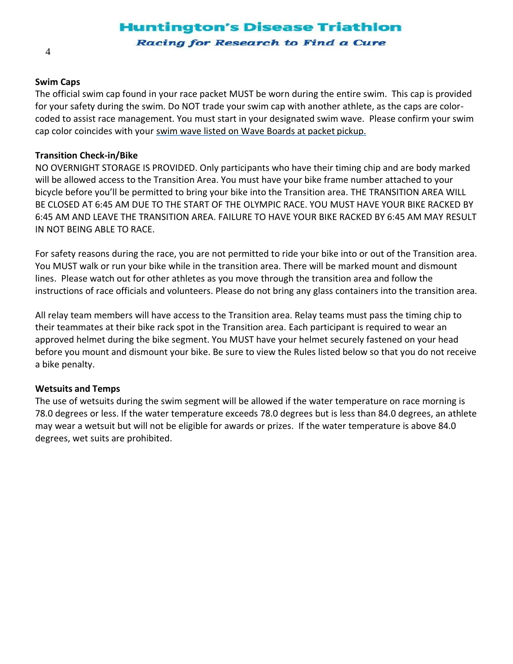# **Huntington's Disease Triathlon** Racing for Research to Find a Cure

### **Swim Caps**

The official swim cap found in your race packet MUST be worn during the entire swim. This cap is provided for your safety during the swim. Do NOT trade your swim cap with another athlete, as the caps are colorcoded to assist race management. You must start in your designated swim wave. Please confirm your swim cap color coincides with your swim wave listed on Wave Boards at packet pickup.

### **Transition Check-in/Bike**

NO OVERNIGHT STORAGE IS PROVIDED. Only participants who have their timing chip and are body marked will be allowed access to the Transition Area. You must have your bike frame number attached to your bicycle before you'll be permitted to bring your bike into the Transition area. THE TRANSITION AREA WILL BE CLOSED AT 6:45 AM DUE TO THE START OF THE OLYMPIC RACE. YOU MUST HAVE YOUR BIKE RACKED BY 6:45 AM AND LEAVE THE TRANSITION AREA. FAILURE TO HAVE YOUR BIKE RACKED BY 6:45 AM MAY RESULT IN NOT BEING ABLE TO RACE.

For safety reasons during the race, you are not permitted to ride your bike into or out of the Transition area. You MUST walk or run your bike while in the transition area. There will be marked mount and dismount lines. Please watch out for other athletes as you move through the transition area and follow the instructions of race officials and volunteers. Please do not bring any glass containers into the transition area.

All relay team members will have access to the Transition area. Relay teams must pass the timing chip to their teammates at their bike rack spot in the Transition area. Each participant is required to wear an approved helmet during the bike segment. You MUST have your helmet securely fastened on your head before you mount and dismount your bike. Be sure to view the Rules listed below so that you do not receive a bike penalty.

# **Wetsuits and Temps**

The use of wetsuits during the swim segment will be allowed if the water temperature on race morning is 78.0 degrees or less. If the water temperature exceeds 78.0 degrees but is less than 84.0 degrees, an athlete may wear a wetsuit but will not be eligible for awards or prizes. If the water temperature is above 84.0 degrees, wet suits are prohibited.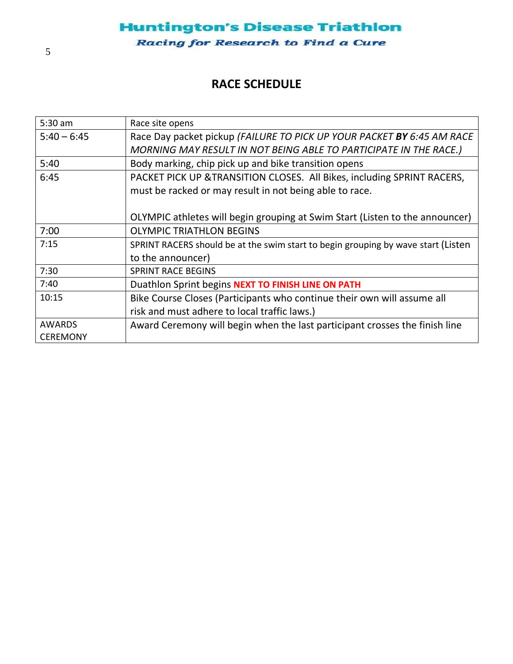# **RACE SCHEDULE**

| $5:30$ am       | Race site opens                                                                   |  |  |
|-----------------|-----------------------------------------------------------------------------------|--|--|
| $5:40 - 6:45$   | Race Day packet pickup (FAILURE TO PICK UP YOUR PACKET BY 6:45 AM RACE            |  |  |
|                 | MORNING MAY RESULT IN NOT BEING ABLE TO PARTICIPATE IN THE RACE.)                 |  |  |
| 5:40            | Body marking, chip pick up and bike transition opens                              |  |  |
| 6:45            | PACKET PICK UP & TRANSITION CLOSES. All Bikes, including SPRINT RACERS,           |  |  |
|                 | must be racked or may result in not being able to race.                           |  |  |
|                 |                                                                                   |  |  |
|                 | OLYMPIC athletes will begin grouping at Swim Start (Listen to the announcer)      |  |  |
| 7:00            | <b>OLYMPIC TRIATHLON BEGINS</b>                                                   |  |  |
| 7:15            | SPRINT RACERS should be at the swim start to begin grouping by wave start (Listen |  |  |
|                 | to the announcer)                                                                 |  |  |
| 7:30            | <b>SPRINT RACE BEGINS</b>                                                         |  |  |
| 7:40            | Duathlon Sprint begins NEXT TO FINISH LINE ON PATH                                |  |  |
| 10:15           | Bike Course Closes (Participants who continue their own will assume all           |  |  |
|                 | risk and must adhere to local traffic laws.)                                      |  |  |
| <b>AWARDS</b>   | Award Ceremony will begin when the last participant crosses the finish line       |  |  |
| <b>CEREMONY</b> |                                                                                   |  |  |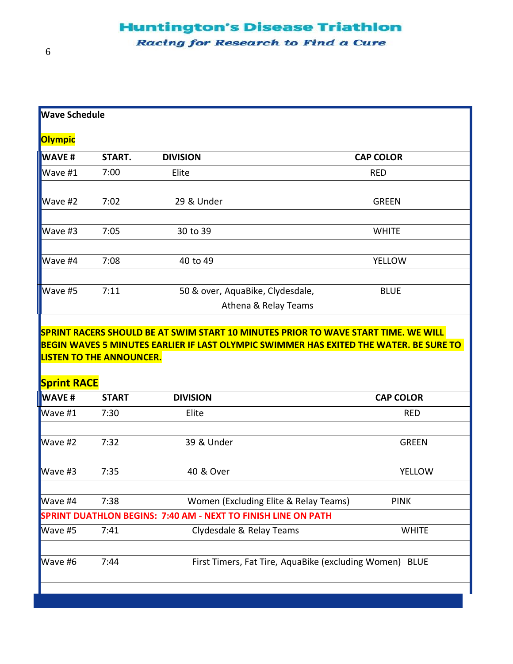# **Huntington's Disease Triathlon**

Racing for Research to Find a Cure

| <b>Wave Schedule</b>                                          |                                                                 |                                       |                  |  |
|---------------------------------------------------------------|-----------------------------------------------------------------|---------------------------------------|------------------|--|
| <b>Olympic</b>                                                |                                                                 |                                       |                  |  |
| <b>WAVE#</b>                                                  | START.                                                          | <b>DIVISION</b>                       | <b>CAP COLOR</b> |  |
| Wave #1                                                       | 7:00                                                            | Elite                                 | <b>RED</b>       |  |
| Wave #2                                                       | 7:02                                                            | 29 & Under                            | <b>GREEN</b>     |  |
| Wave #3                                                       | 7:05                                                            | 30 to 39                              | <b>WHITE</b>     |  |
| Wave #4                                                       | 7:08                                                            | 40 to 49                              | <b>YELLOW</b>    |  |
| Wave #5                                                       | 7:11                                                            | 50 & over, AquaBike, Clydesdale,      | <b>BLUE</b>      |  |
|                                                               |                                                                 | Athena & Relay Teams                  |                  |  |
| <b>LISTEN TO THE ANNOUNCER.</b><br><b>Sprint RACE</b>         |                                                                 |                                       |                  |  |
| <b>WAVE#</b>                                                  | <b>START</b>                                                    | <b>DIVISION</b>                       | <b>CAP COLOR</b> |  |
| Wave #1                                                       | 7:30                                                            | Elite                                 | <b>RED</b>       |  |
| Wave #2                                                       | 7:32                                                            | 39 & Under                            | <b>GREEN</b>     |  |
| Wave #3                                                       | 7:35                                                            | 40 & Over                             | <b>YELLOW</b>    |  |
| Wave #4                                                       | 7:38                                                            | Women (Excluding Elite & Relay Teams) | <b>PINK</b>      |  |
| SPRINT DUATHLON BEGINS: 7:40 AM - NEXT TO FINISH LINE ON PATH |                                                                 |                                       |                  |  |
| Wave #5                                                       | 7:41                                                            | Clydesdale & Relay Teams              | <b>WHITE</b>     |  |
| Wave #6                                                       | 7:44<br>First Timers, Fat Tire, AquaBike (excluding Women) BLUE |                                       |                  |  |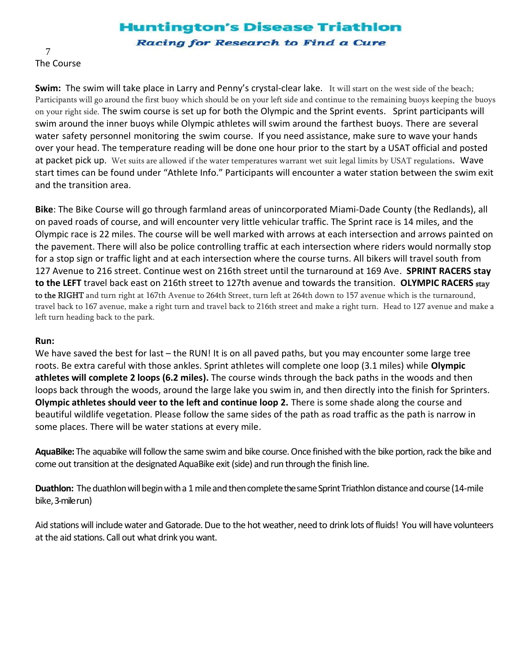# **Huntington's Disease Triathlon**

Racing for Research to Find a Cure

7 The Course

**Swim:** The swim will take place in Larry and Penny's crystal-clear lake. It will start on the west side of the beach; Participants will go around the first buoy which should be on your left side and continue to the remaining buoys keeping the buoys on your right side. The swim course is set up for both the Olympic and the Sprint events. Sprint participants will swim around the inner buoys while Olympic athletes will swim around the farthest buoys. There are several water safety personnel monitoring the swim course. If you need assistance, make sure to wave your hands over your head. The temperature reading will be done one hour prior to the start by a USAT official and posted at packet pick up. Wet suits are allowed if the water temperatures warrant wet suit legal limits by USAT regulations. Wave start times can be found under "Athlete Info." Participants will encounter a water station between the swim exit and the transition area.

**Bike**: The Bike Course will go through farmland areas of unincorporated Miami-Dade County (the Redlands), all on paved roads of course, and will encounter very little vehicular traffic. The Sprint race is 14 miles, and the Olympic race is 22 miles. The course will be well marked with arrows at each intersection and arrows painted on the pavement. There will also be police controlling traffic at each intersection where riders would normally stop for a stop sign or traffic light and at each intersection where the course turns. All bikers will travel south from 127 Avenue to 216 street. Continue west on 216th street until the turnaround at 169 Ave. **SPRINT RACERS stay to the LEFT** travel back east on 216th street to 127th avenue and towards the transition. **OLYMPIC RACERS** stay to the RIGHT and turn right at 167th Avenue to 264th Street, turn left at 264th down to 157 avenue which is the turnaround, travel back to 167 avenue, make a right turn and travel back to 216th street and make a right turn. Head to 127 avenue and make a left turn heading back to the park.

# **Run:**

We have saved the best for last – the RUN! It is on all paved paths, but you may encounter some large tree roots. Be extra careful with those ankles. Sprint athletes will complete one loop (3.1 miles) while **Olympic athletes will complete 2 loops (6.2 miles).** The course winds through the back paths in the woods and then loops back through the woods, around the large lake you swim in, and then directly into the finish for Sprinters. **Olympic athletes should veer to the left and continue loop 2.** There is some shade along the course and beautiful wildlife vegetation. Please follow the same sides of the path as road traffic as the path is narrow in some places. There will be water stations at every mile.

**AquaBike:** The aquabike will follow the same swim and bike course. Once finished with the bike portion, rack the bike and come out transition at the designated AquaBike exit (side) and run through the finish line.

**Duathlon:** The duathlon will begin with a 1 mile and then complete the same Sprint Triathlon distance and course (14-mile bike,3-mile run)

Aid stations will include water and Gatorade. Due to the hot weather, need to drink lots of fluids! You will have volunteers at the aid stations. Call out what drink you want.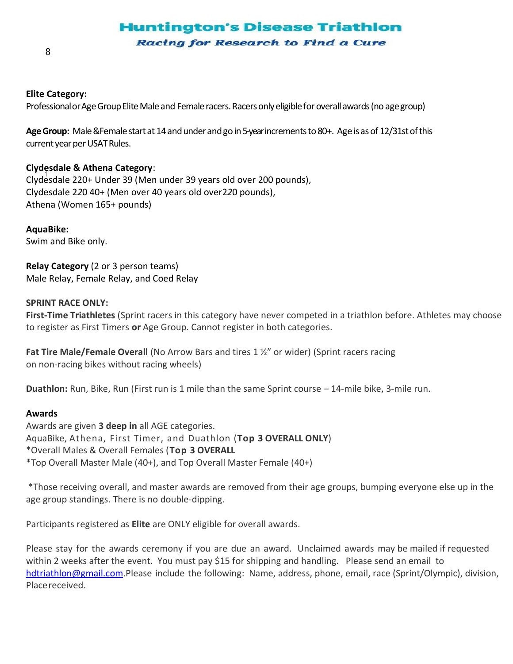# **Huntington's Disease Triathlon**

Racing for Research to Find a Cure

### **Elite Category:**

Professional or Age Group Elite Male and Female racers. Racers only eligible for overall awards (no age group)

Age Group: Male &Female start at 14 and under and go in 5-yearincrements to 80+. Age is as of 12/31st of this current year per USAT Rules.

# **Clydesdale & Athena Category**:

t Clydesdale 220+ Under 39 (Men under 39 years old over 200 pounds), Clydesdale 2*2*0 40+ (Men over 40 years old over2*2*0 pounds), Athena (Women 165+ pounds)

**AquaBike:** Swim and Bike only.

**Relay Category** (2 or 3 person teams) Male Relay, Female Relay, and Coed Relay

### **SPRINT RACE ONLY:**

**First-Time Triathletes** (Sprint racers in this category have never competed in a triathlon before. Athletes may choose to register as First Timers **or** Age Group. Cannot register in both categories.

**Fat Tire Male/Female Overall** (No Arrow Bars and tires 1 ½" or wider) (Sprint racers racing on non-racing bikes without racing wheels)

**Duathlon:** Run, Bike, Run (First run is 1 mile than the same Sprint course – 14-mile bike, 3-mile run.

#### **Awards**

Awards are given **3 deep in** all AGE categories. AquaBike, Athena, First Timer, and Duathlon (**Top 3 OVERALL ONLY**) \*Overall Males & Overall Females (**Top 3 OVERALL** \*Top Overall Master Male (40+), and Top Overall Master Female (40+)

\*Those receiving overall, and master awards are removed from their age groups, bumping everyone else up in the age group standings. There is no double-dipping.

Participants registered as **Elite** are ONLY eligible for overall awards.

Please stay for the awards ceremony if you are due an award. Unclaimed awards may be mailed if requested within 2 weeks after the event. You must pay \$15 for shipping and handling. Please send an email to [hdtriathlon@gmail.com.P](mailto:hdtriathlon@gmail.com)lease include the following: Name, address, phone, email, race (Sprint/Olympic), division, Placereceived.